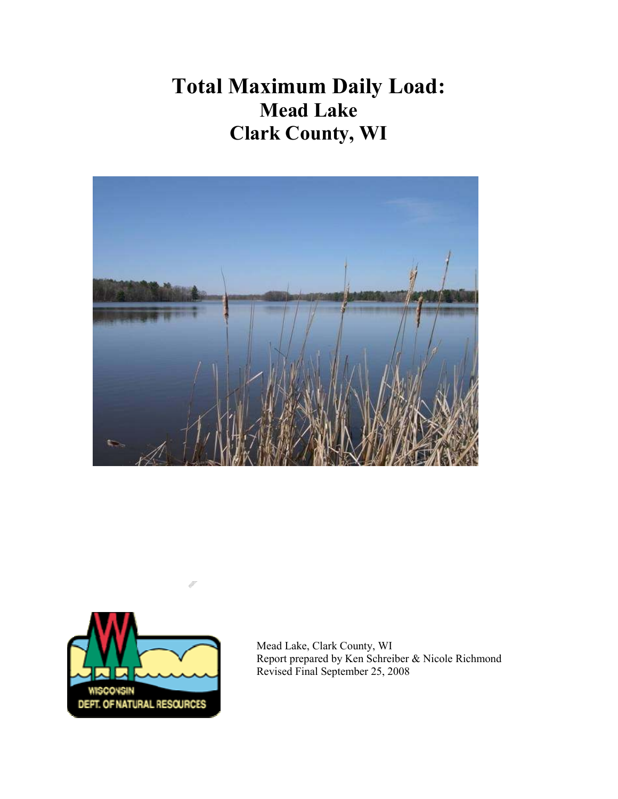# Total Maximum Daily Load: Mead Lake Clark County, WI





Mead Lake, Clark County, WI Report prepared by Ken Schreiber & Nicole Richmond Revised Final September 25, 2008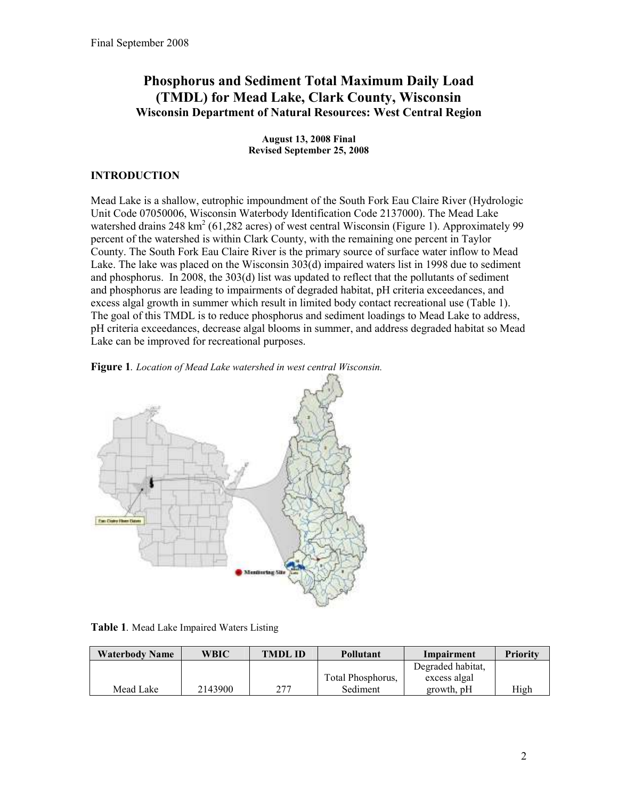## Phosphorus and Sediment Total Maximum Daily Load (TMDL) for Mead Lake, Clark County, Wisconsin Wisconsin Department of Natural Resources: West Central Region

August 13, 2008 Final Revised September 25, 2008

## **INTRODUCTION**

Mead Lake is a shallow, eutrophic impoundment of the South Fork Eau Claire River (Hydrologic Unit Code 07050006, Wisconsin Waterbody Identification Code 2137000). The Mead Lake watershed drains 248 km<sup>2</sup> (61,282 acres) of west central Wisconsin (Figure 1). Approximately 99 percent of the watershed is within Clark County, with the remaining one percent in Taylor County. The South Fork Eau Claire River is the primary source of surface water inflow to Mead Lake. The lake was placed on the Wisconsin 303(d) impaired waters list in 1998 due to sediment and phosphorus. In 2008, the 303(d) list was updated to reflect that the pollutants of sediment and phosphorus are leading to impairments of degraded habitat, pH criteria exceedances, and excess algal growth in summer which result in limited body contact recreational use (Table 1). The goal of this TMDL is to reduce phosphorus and sediment loadings to Mead Lake to address, pH criteria exceedances, decrease algal blooms in summer, and address degraded habitat so Mead Lake can be improved for recreational purposes.





Table 1. Mead Lake Impaired Waters Listing

| <b>Waterbody Name</b> | WBIC    | <b>TMDLID</b> | Pollutant         | Impairment        | <b>Priority</b> |
|-----------------------|---------|---------------|-------------------|-------------------|-----------------|
|                       |         |               |                   | Degraded habitat, |                 |
|                       |         |               | Total Phosphorus, | excess algal      |                 |
| Mead Lake             | 2143900 | フフフ           | Sediment          | growth, pH        | High            |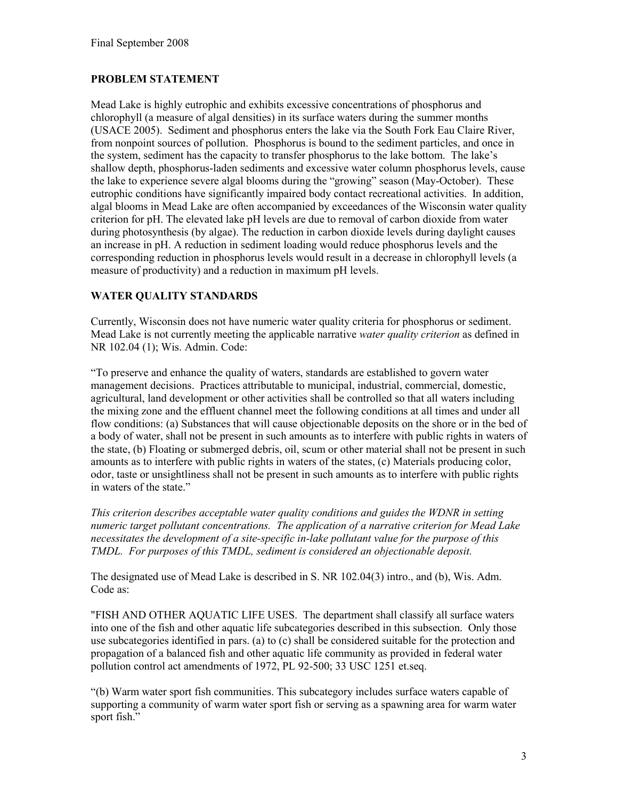## PROBLEM STATEMENT

Mead Lake is highly eutrophic and exhibits excessive concentrations of phosphorus and chlorophyll (a measure of algal densities) in its surface waters during the summer months (USACE 2005). Sediment and phosphorus enters the lake via the South Fork Eau Claire River, from nonpoint sources of pollution. Phosphorus is bound to the sediment particles, and once in the system, sediment has the capacity to transfer phosphorus to the lake bottom. The lake's shallow depth, phosphorus-laden sediments and excessive water column phosphorus levels, cause the lake to experience severe algal blooms during the "growing" season (May-October). These eutrophic conditions have significantly impaired body contact recreational activities. In addition, algal blooms in Mead Lake are often accompanied by exceedances of the Wisconsin water quality criterion for pH. The elevated lake pH levels are due to removal of carbon dioxide from water during photosynthesis (by algae). The reduction in carbon dioxide levels during daylight causes an increase in pH. A reduction in sediment loading would reduce phosphorus levels and the corresponding reduction in phosphorus levels would result in a decrease in chlorophyll levels (a measure of productivity) and a reduction in maximum pH levels.

## WATER QUALITY STANDARDS

Currently, Wisconsin does not have numeric water quality criteria for phosphorus or sediment. Mead Lake is not currently meeting the applicable narrative water quality criterion as defined in NR 102.04 (1); Wis. Admin. Code:

"To preserve and enhance the quality of waters, standards are established to govern water management decisions. Practices attributable to municipal, industrial, commercial, domestic, agricultural, land development or other activities shall be controlled so that all waters including the mixing zone and the effluent channel meet the following conditions at all times and under all flow conditions: (a) Substances that will cause objectionable deposits on the shore or in the bed of a body of water, shall not be present in such amounts as to interfere with public rights in waters of the state, (b) Floating or submerged debris, oil, scum or other material shall not be present in such amounts as to interfere with public rights in waters of the states, (c) Materials producing color, odor, taste or unsightliness shall not be present in such amounts as to interfere with public rights in waters of the state."

This criterion describes acceptable water quality conditions and guides the WDNR in setting numeric target pollutant concentrations. The application of a narrative criterion for Mead Lake necessitates the development of a site-specific in-lake pollutant value for the purpose of this TMDL. For purposes of this TMDL, sediment is considered an objectionable deposit.

The designated use of Mead Lake is described in S. NR 102.04(3) intro., and (b), Wis. Adm. Code as:

"FISH AND OTHER AQUATIC LIFE USES. The department shall classify all surface waters into one of the fish and other aquatic life subcategories described in this subsection. Only those use subcategories identified in pars. (a) to (c) shall be considered suitable for the protection and propagation of a balanced fish and other aquatic life community as provided in federal water pollution control act amendments of 1972, PL 92-500; 33 USC 1251 et.seq.

"(b) Warm water sport fish communities. This subcategory includes surface waters capable of supporting a community of warm water sport fish or serving as a spawning area for warm water sport fish."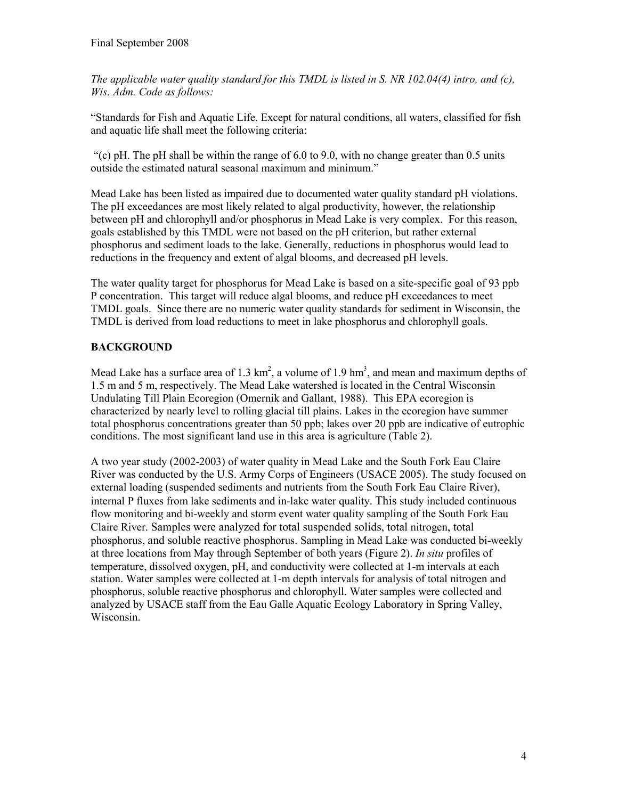The applicable water quality standard for this TMDL is listed in S. NR 102.04(4) intro, and (c), Wis. Adm. Code as follows:

"Standards for Fish and Aquatic Life. Except for natural conditions, all waters, classified for fish and aquatic life shall meet the following criteria:

"(c) pH. The pH shall be within the range of  $6.0$  to  $9.0$ , with no change greater than 0.5 units outside the estimated natural seasonal maximum and minimum."

Mead Lake has been listed as impaired due to documented water quality standard pH violations. The pH exceedances are most likely related to algal productivity, however, the relationship between pH and chlorophyll and/or phosphorus in Mead Lake is very complex. For this reason, goals established by this TMDL were not based on the pH criterion, but rather external phosphorus and sediment loads to the lake. Generally, reductions in phosphorus would lead to reductions in the frequency and extent of algal blooms, and decreased pH levels.

The water quality target for phosphorus for Mead Lake is based on a site-specific goal of 93 ppb P concentration. This target will reduce algal blooms, and reduce pH exceedances to meet TMDL goals. Since there are no numeric water quality standards for sediment in Wisconsin, the TMDL is derived from load reductions to meet in lake phosphorus and chlorophyll goals.

## BACKGROUND

Mead Lake has a surface area of 1.3  $km^2$ , a volume of 1.9  $hm^3$ , and mean and maximum depths of 1.5 m and 5 m, respectively. The Mead Lake watershed is located in the Central Wisconsin Undulating Till Plain Ecoregion (Omernik and Gallant, 1988). This EPA ecoregion is characterized by nearly level to rolling glacial till plains. Lakes in the ecoregion have summer total phosphorus concentrations greater than 50 ppb; lakes over 20 ppb are indicative of eutrophic conditions. The most significant land use in this area is agriculture (Table 2).

A two year study (2002-2003) of water quality in Mead Lake and the South Fork Eau Claire River was conducted by the U.S. Army Corps of Engineers (USACE 2005). The study focused on external loading (suspended sediments and nutrients from the South Fork Eau Claire River), internal P fluxes from lake sediments and in-lake water quality. This study included continuous flow monitoring and bi-weekly and storm event water quality sampling of the South Fork Eau Claire River. Samples were analyzed for total suspended solids, total nitrogen, total phosphorus, and soluble reactive phosphorus. Sampling in Mead Lake was conducted bi-weekly at three locations from May through September of both years (Figure 2). In situ profiles of temperature, dissolved oxygen, pH, and conductivity were collected at 1-m intervals at each station. Water samples were collected at 1-m depth intervals for analysis of total nitrogen and phosphorus, soluble reactive phosphorus and chlorophyll. Water samples were collected and analyzed by USACE staff from the Eau Galle Aquatic Ecology Laboratory in Spring Valley, Wisconsin.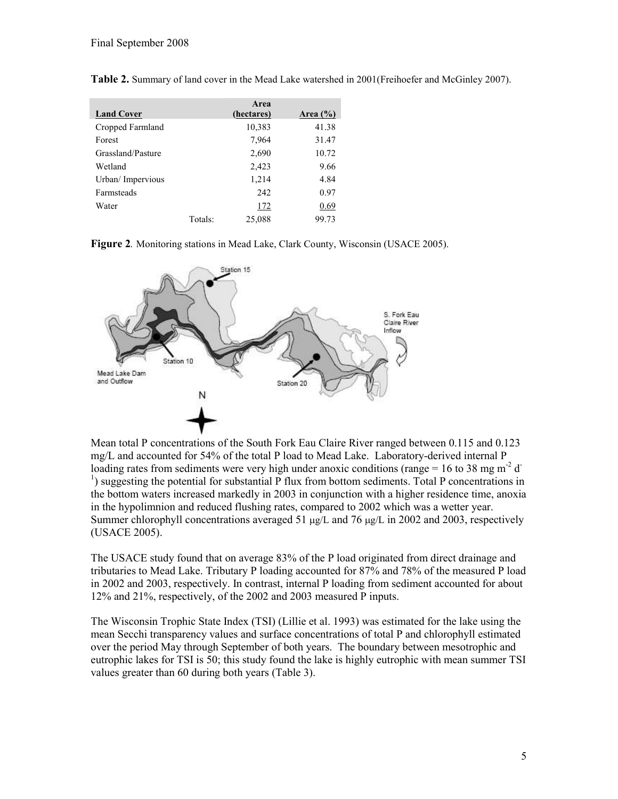| <b>Land Cover</b> |         | Area<br>(hectares) | Area $(\% )$ |
|-------------------|---------|--------------------|--------------|
| Cropped Farmland  |         | 10,383             | 41.38        |
| Forest            |         | 7,964              | 31.47        |
| Grassland/Pasture |         | 2,690              | 10.72        |
| Wetland           |         | 2,423              | 9.66         |
| Urban/ Impervious |         | 1,214              | 4.84         |
| <b>Farmsteads</b> |         | 242                | 0.97         |
| Water             |         | 172                | 0.69         |
|                   | Totals: | 25,088             | 99.73        |

Table 2. Summary of land cover in the Mead Lake watershed in 2001(Freihoefer and McGinley 2007).





Mean total P concentrations of the South Fork Eau Claire River ranged between 0.115 and 0.123 mg/L and accounted for 54% of the total P load to Mead Lake. Laboratory-derived internal P loading rates from sediments were very high under anoxic conditions (range = 16 to 38 mg m<sup>-2</sup> d<sup>-</sup> <sup>1</sup>) suggesting the potential for substantial P flux from bottom sediments. Total P concentrations in the bottom waters increased markedly in 2003 in conjunction with a higher residence time, anoxia in the hypolimnion and reduced flushing rates, compared to 2002 which was a wetter year. Summer chlorophyll concentrations averaged 51  $\mu$ g/L and 76  $\mu$ g/L in 2002 and 2003, respectively (USACE 2005).

The USACE study found that on average 83% of the P load originated from direct drainage and tributaries to Mead Lake. Tributary P loading accounted for 87% and 78% of the measured P load in 2002 and 2003, respectively. In contrast, internal P loading from sediment accounted for about 12% and 21%, respectively, of the 2002 and 2003 measured P inputs.

The Wisconsin Trophic State Index (TSI) (Lillie et al. 1993) was estimated for the lake using the mean Secchi transparency values and surface concentrations of total P and chlorophyll estimated over the period May through September of both years. The boundary between mesotrophic and eutrophic lakes for TSI is 50; this study found the lake is highly eutrophic with mean summer TSI values greater than 60 during both years (Table 3).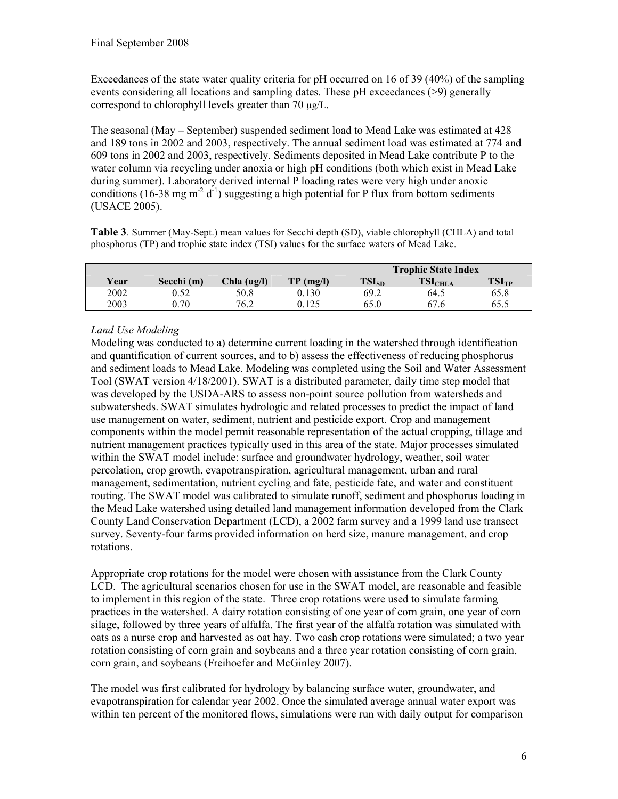Exceedances of the state water quality criteria for pH occurred on 16 of 39 (40%) of the sampling events considering all locations and sampling dates. These pH exceedances (>9) generally correspond to chlorophyll levels greater than 70 µg/L.

The seasonal (May – September) suspended sediment load to Mead Lake was estimated at 428 and 189 tons in 2002 and 2003, respectively. The annual sediment load was estimated at 774 and 609 tons in 2002 and 2003, respectively. Sediments deposited in Mead Lake contribute P to the water column via recycling under anoxia or high pH conditions (both which exist in Mead Lake during summer). Laboratory derived internal P loading rates were very high under anoxic conditions (16-38 mg m<sup>-2</sup> d<sup>-1</sup>) suggesting a high potential for P flux from bottom sediments (USACE 2005).

Table 3. Summer (May-Sept.) mean values for Secchi depth (SD), viable chlorophyll (CHLA) and total phosphorus (TP) and trophic state index (TSI) values for the surface waters of Mead Lake.

|      |            |             |             | <b>Trophic State Index</b> |                     |                   |  |
|------|------------|-------------|-------------|----------------------------|---------------------|-------------------|--|
| Year | Secchi (m) | Chla (ug/l) | $TP$ (mg/l) | $TSI_{SD}$                 | TSI <sub>CHLA</sub> | TSI <sub>TP</sub> |  |
| 2002 | 0.52       | 50.8        | 0.130       | 69.2                       | 64.5                | 65.8              |  |
| 2003 | 0.70       | 76.2        | 0.125       | 65.0                       | 67.6                | 65.5              |  |

## Land Use Modeling

Modeling was conducted to a) determine current loading in the watershed through identification and quantification of current sources, and to b) assess the effectiveness of reducing phosphorus and sediment loads to Mead Lake. Modeling was completed using the Soil and Water Assessment Tool (SWAT version 4/18/2001). SWAT is a distributed parameter, daily time step model that was developed by the USDA-ARS to assess non-point source pollution from watersheds and subwatersheds. SWAT simulates hydrologic and related processes to predict the impact of land use management on water, sediment, nutrient and pesticide export. Crop and management components within the model permit reasonable representation of the actual cropping, tillage and nutrient management practices typically used in this area of the state. Major processes simulated within the SWAT model include: surface and groundwater hydrology, weather, soil water percolation, crop growth, evapotranspiration, agricultural management, urban and rural management, sedimentation, nutrient cycling and fate, pesticide fate, and water and constituent routing. The SWAT model was calibrated to simulate runoff, sediment and phosphorus loading in the Mead Lake watershed using detailed land management information developed from the Clark County Land Conservation Department (LCD), a 2002 farm survey and a 1999 land use transect survey. Seventy-four farms provided information on herd size, manure management, and crop rotations.

Appropriate crop rotations for the model were chosen with assistance from the Clark County LCD. The agricultural scenarios chosen for use in the SWAT model, are reasonable and feasible to implement in this region of the state. Three crop rotations were used to simulate farming practices in the watershed. A dairy rotation consisting of one year of corn grain, one year of corn silage, followed by three years of alfalfa. The first year of the alfalfa rotation was simulated with oats as a nurse crop and harvested as oat hay. Two cash crop rotations were simulated; a two year rotation consisting of corn grain and soybeans and a three year rotation consisting of corn grain, corn grain, and soybeans (Freihoefer and McGinley 2007).

The model was first calibrated for hydrology by balancing surface water, groundwater, and evapotranspiration for calendar year 2002. Once the simulated average annual water export was within ten percent of the monitored flows, simulations were run with daily output for comparison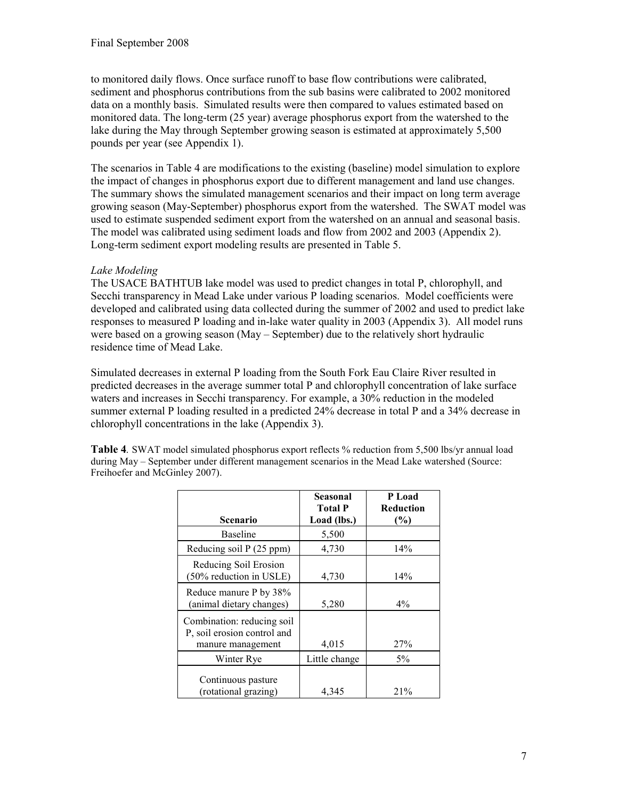to monitored daily flows. Once surface runoff to base flow contributions were calibrated, sediment and phosphorus contributions from the sub basins were calibrated to 2002 monitored data on a monthly basis. Simulated results were then compared to values estimated based on monitored data. The long-term (25 year) average phosphorus export from the watershed to the lake during the May through September growing season is estimated at approximately 5,500 pounds per year (see Appendix 1).

The scenarios in Table 4 are modifications to the existing (baseline) model simulation to explore the impact of changes in phosphorus export due to different management and land use changes. The summary shows the simulated management scenarios and their impact on long term average growing season (May-September) phosphorus export from the watershed. The SWAT model was used to estimate suspended sediment export from the watershed on an annual and seasonal basis. The model was calibrated using sediment loads and flow from 2002 and 2003 (Appendix 2). Long-term sediment export modeling results are presented in Table 5.

## Lake Modeling

The USACE BATHTUB lake model was used to predict changes in total P, chlorophyll, and Secchi transparency in Mead Lake under various P loading scenarios. Model coefficients were developed and calibrated using data collected during the summer of 2002 and used to predict lake responses to measured P loading and in-lake water quality in 2003 (Appendix 3). All model runs were based on a growing season (May – September) due to the relatively short hydraulic residence time of Mead Lake.

Simulated decreases in external P loading from the South Fork Eau Claire River resulted in predicted decreases in the average summer total P and chlorophyll concentration of lake surface waters and increases in Secchi transparency. For example, a 30% reduction in the modeled summer external P loading resulted in a predicted 24% decrease in total P and a 34% decrease in chlorophyll concentrations in the lake (Appendix 3).

Table 4. SWAT model simulated phosphorus export reflects % reduction from 5,500 lbs/yr annual load during May – September under different management scenarios in the Mead Lake watershed (Source: Freihoefer and McGinley 2007).

|                                                                                | <b>Seasonal</b><br><b>Total P</b> | P Load<br><b>Reduction</b> |
|--------------------------------------------------------------------------------|-----------------------------------|----------------------------|
| Scenario                                                                       | Load (lbs.)                       | (%)                        |
| <b>Baseline</b>                                                                | 5,500                             |                            |
| Reducing soil P (25 ppm)                                                       | 4,730                             | 14%                        |
| Reducing Soil Erosion<br>(50% reduction in USLE)                               | 4,730                             | 14%                        |
| Reduce manure P by 38%<br>(animal dietary changes)                             | 5,280                             | $4\%$                      |
| Combination: reducing soil<br>P, soil erosion control and<br>manure management | 4,015                             | 27%                        |
| Winter Rye                                                                     | Little change                     | $5\%$                      |
| Continuous pasture<br>(rotational grazing)                                     | 4,345                             | 21%                        |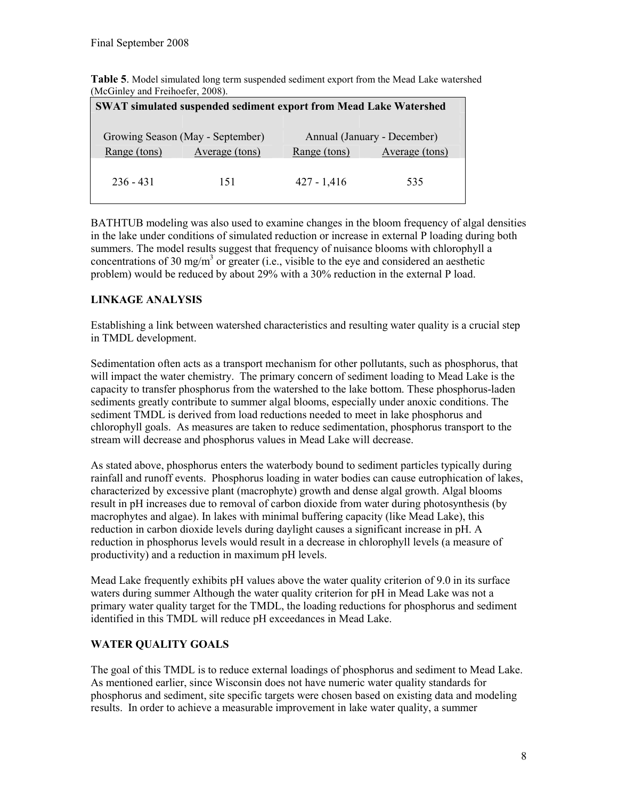| $($ MCOTHEY and FIEHRELET, $2008$ ).                                     |                |               |                |  |  |  |  |
|--------------------------------------------------------------------------|----------------|---------------|----------------|--|--|--|--|
| <b>SWAT simulated suspended sediment export from Mead Lake Watershed</b> |                |               |                |  |  |  |  |
|                                                                          |                |               |                |  |  |  |  |
| Annual (January - December)<br>Growing Season (May - September)          |                |               |                |  |  |  |  |
| Range (tons)                                                             | Average (tons) | Range (tons)  | Average (tons) |  |  |  |  |
|                                                                          |                |               |                |  |  |  |  |
| $236 - 431$                                                              | 151            | $427 - 1,416$ | 535            |  |  |  |  |
|                                                                          |                |               |                |  |  |  |  |

Table 5. Model simulated long term suspended sediment export from the Mead Lake watershed (McGinley and Freihoefer, 2008).

BATHTUB modeling was also used to examine changes in the bloom frequency of algal densities in the lake under conditions of simulated reduction or increase in external P loading during both summers. The model results suggest that frequency of nuisance blooms with chlorophyll a concentrations of 30 mg/m<sup>3</sup> or greater (i.e., visible to the eye and considered an aesthetic problem) would be reduced by about 29% with a 30% reduction in the external P load.

## LINKAGE ANALYSIS

Establishing a link between watershed characteristics and resulting water quality is a crucial step in TMDL development.

Sedimentation often acts as a transport mechanism for other pollutants, such as phosphorus, that will impact the water chemistry. The primary concern of sediment loading to Mead Lake is the capacity to transfer phosphorus from the watershed to the lake bottom. These phosphorus-laden sediments greatly contribute to summer algal blooms, especially under anoxic conditions. The sediment TMDL is derived from load reductions needed to meet in lake phosphorus and chlorophyll goals. As measures are taken to reduce sedimentation, phosphorus transport to the stream will decrease and phosphorus values in Mead Lake will decrease.

As stated above, phosphorus enters the waterbody bound to sediment particles typically during rainfall and runoff events. Phosphorus loading in water bodies can cause eutrophication of lakes, characterized by excessive plant (macrophyte) growth and dense algal growth. Algal blooms result in pH increases due to removal of carbon dioxide from water during photosynthesis (by macrophytes and algae). In lakes with minimal buffering capacity (like Mead Lake), this reduction in carbon dioxide levels during daylight causes a significant increase in pH. A reduction in phosphorus levels would result in a decrease in chlorophyll levels (a measure of productivity) and a reduction in maximum pH levels.

Mead Lake frequently exhibits pH values above the water quality criterion of 9.0 in its surface waters during summer Although the water quality criterion for pH in Mead Lake was not a primary water quality target for the TMDL, the loading reductions for phosphorus and sediment identified in this TMDL will reduce pH exceedances in Mead Lake.

## WATER QUALITY GOALS

The goal of this TMDL is to reduce external loadings of phosphorus and sediment to Mead Lake. As mentioned earlier, since Wisconsin does not have numeric water quality standards for phosphorus and sediment, site specific targets were chosen based on existing data and modeling results. In order to achieve a measurable improvement in lake water quality, a summer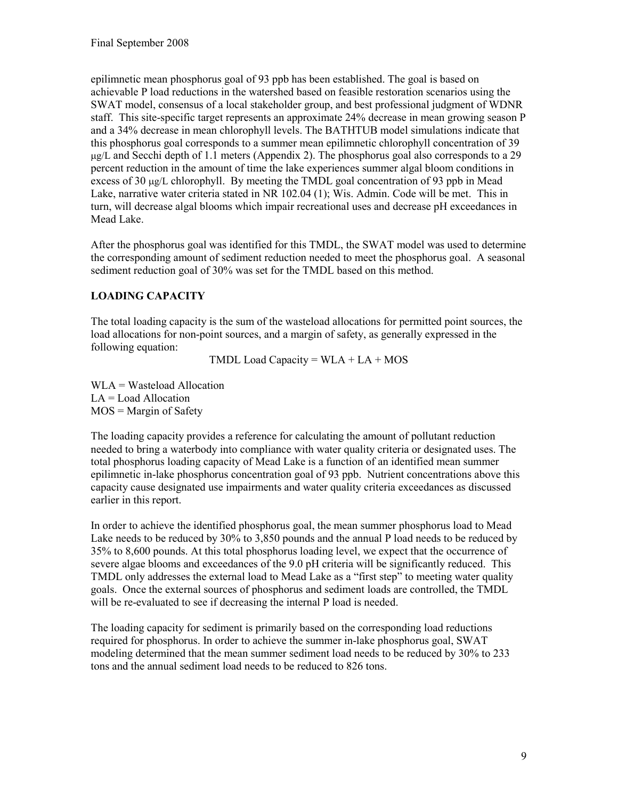epilimnetic mean phosphorus goal of 93 ppb has been established. The goal is based on achievable P load reductions in the watershed based on feasible restoration scenarios using the SWAT model, consensus of a local stakeholder group, and best professional judgment of WDNR staff. This site-specific target represents an approximate 24% decrease in mean growing season P and a 34% decrease in mean chlorophyll levels. The BATHTUB model simulations indicate that this phosphorus goal corresponds to a summer mean epilimnetic chlorophyll concentration of 39  $\mu$ g/L and Secchi depth of 1.1 meters (Appendix 2). The phosphorus goal also corresponds to a 29 percent reduction in the amount of time the lake experiences summer algal bloom conditions in excess of 30 µg/L chlorophyll. By meeting the TMDL goal concentration of 93 ppb in Mead Lake, narrative water criteria stated in NR 102.04 (1); Wis. Admin. Code will be met. This in turn, will decrease algal blooms which impair recreational uses and decrease pH exceedances in Mead Lake.

After the phosphorus goal was identified for this TMDL, the SWAT model was used to determine the corresponding amount of sediment reduction needed to meet the phosphorus goal. A seasonal sediment reduction goal of 30% was set for the TMDL based on this method.

## LOADING CAPACITY

The total loading capacity is the sum of the wasteload allocations for permitted point sources, the load allocations for non-point sources, and a margin of safety, as generally expressed in the following equation:

TMDL Load Capacity =  $WLA + LA + MOS$ 

WLA = Wasteload Allocation LA = Load Allocation MOS = Margin of Safety

The loading capacity provides a reference for calculating the amount of pollutant reduction needed to bring a waterbody into compliance with water quality criteria or designated uses. The total phosphorus loading capacity of Mead Lake is a function of an identified mean summer epilimnetic in-lake phosphorus concentration goal of 93 ppb. Nutrient concentrations above this capacity cause designated use impairments and water quality criteria exceedances as discussed earlier in this report.

In order to achieve the identified phosphorus goal, the mean summer phosphorus load to Mead Lake needs to be reduced by 30% to 3,850 pounds and the annual P load needs to be reduced by 35% to 8,600 pounds. At this total phosphorus loading level, we expect that the occurrence of severe algae blooms and exceedances of the 9.0 pH criteria will be significantly reduced. This TMDL only addresses the external load to Mead Lake as a "first step" to meeting water quality goals. Once the external sources of phosphorus and sediment loads are controlled, the TMDL will be re-evaluated to see if decreasing the internal P load is needed.

The loading capacity for sediment is primarily based on the corresponding load reductions required for phosphorus. In order to achieve the summer in-lake phosphorus goal, SWAT modeling determined that the mean summer sediment load needs to be reduced by 30% to 233 tons and the annual sediment load needs to be reduced to 826 tons.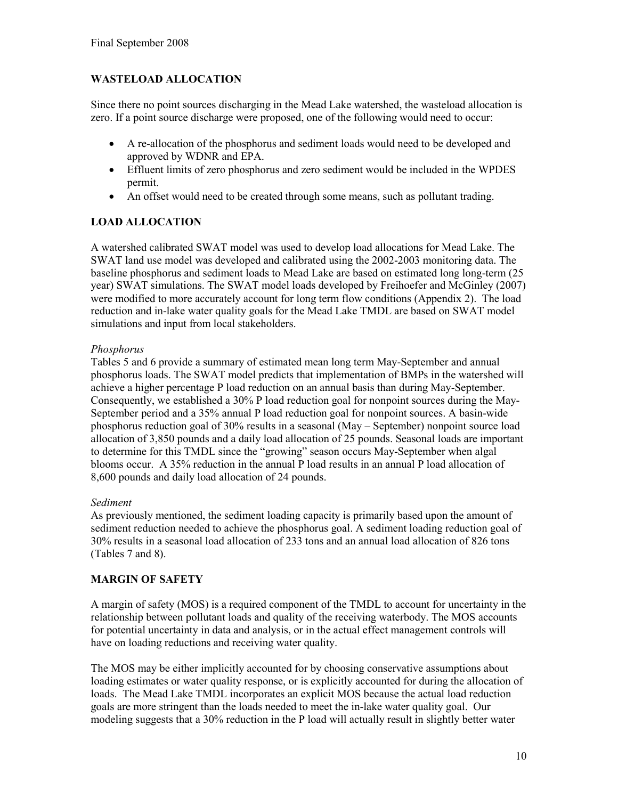## WASTELOAD ALLOCATION

Since there no point sources discharging in the Mead Lake watershed, the wasteload allocation is zero. If a point source discharge were proposed, one of the following would need to occur:

- A re-allocation of the phosphorus and sediment loads would need to be developed and approved by WDNR and EPA.
- Effluent limits of zero phosphorus and zero sediment would be included in the WPDES permit.
- An offset would need to be created through some means, such as pollutant trading.

## LOAD ALLOCATION

A watershed calibrated SWAT model was used to develop load allocations for Mead Lake. The SWAT land use model was developed and calibrated using the 2002-2003 monitoring data. The baseline phosphorus and sediment loads to Mead Lake are based on estimated long long-term (25 year) SWAT simulations. The SWAT model loads developed by Freihoefer and McGinley (2007) were modified to more accurately account for long term flow conditions (Appendix 2). The load reduction and in-lake water quality goals for the Mead Lake TMDL are based on SWAT model simulations and input from local stakeholders.

### Phosphorus

Tables 5 and 6 provide a summary of estimated mean long term May-September and annual phosphorus loads. The SWAT model predicts that implementation of BMPs in the watershed will achieve a higher percentage P load reduction on an annual basis than during May-September. Consequently, we established a 30% P load reduction goal for nonpoint sources during the May-September period and a 35% annual P load reduction goal for nonpoint sources. A basin-wide phosphorus reduction goal of 30% results in a seasonal (May – September) nonpoint source load allocation of 3,850 pounds and a daily load allocation of 25 pounds. Seasonal loads are important to determine for this TMDL since the "growing" season occurs May-September when algal blooms occur. A 35% reduction in the annual P load results in an annual P load allocation of 8,600 pounds and daily load allocation of 24 pounds.

### Sediment

As previously mentioned, the sediment loading capacity is primarily based upon the amount of sediment reduction needed to achieve the phosphorus goal. A sediment loading reduction goal of 30% results in a seasonal load allocation of 233 tons and an annual load allocation of 826 tons (Tables 7 and 8).

### MARGIN OF SAFETY

A margin of safety (MOS) is a required component of the TMDL to account for uncertainty in the relationship between pollutant loads and quality of the receiving waterbody. The MOS accounts for potential uncertainty in data and analysis, or in the actual effect management controls will have on loading reductions and receiving water quality.

The MOS may be either implicitly accounted for by choosing conservative assumptions about loading estimates or water quality response, or is explicitly accounted for during the allocation of loads. The Mead Lake TMDL incorporates an explicit MOS because the actual load reduction goals are more stringent than the loads needed to meet the in-lake water quality goal. Our modeling suggests that a 30% reduction in the P load will actually result in slightly better water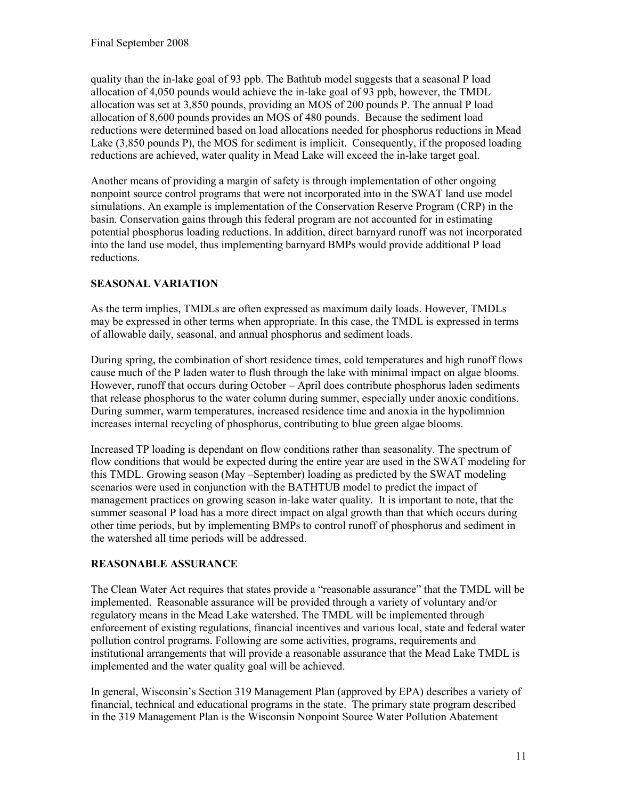quality than the in-lake goal of 93 ppb. The Bathtub model suggests that a seasonal P load allocation of 4,050 pounds would achieve the in-lake goal of 93 ppb, however, the TMDL allocation was set at 3,850 pounds, providing an MOS of 200 pounds P. The annual P load allocation of 8,600 pounds provides an MOS of 480 pounds. Because the sediment load reductions were determined based on load allocations needed for phosphorus reductions in Mead Lake (3,850 pounds P), the MOS for sediment is implicit. Consequently, if the proposed loading reductions are achieved, water quality in Mead Lake will exceed the in-lake target goal.

Another means of providing a margin of safety is through implementation of other ongoing nonpoint source control programs that were not incorporated into in the SWAT land use model simulations. An example is implementation of the Conservation Reserve Program (CRP) in the basin. Conservation gains through this federal program are not accounted for in estimating potential phosphorus loading reductions. In addition, direct barnyard runoff was not incorporated into the land use model, thus implementing barnyard BMPs would provide additional P load reductions.

## SEASONAL VARIATION

As the term implies, TMDLs are often expressed as maximum daily loads. However, TMDLs may be expressed in other terms when appropriate. In this case, the TMDL is expressed in terms of allowable daily, seasonal, and annual phosphorus and sediment loads.

During spring, the combination of short residence times, cold temperatures and high runoff flows cause much of the P laden water to flush through the lake with minimal impact on algae blooms. However, runoff that occurs during October – April does contribute phosphorus laden sediments that release phosphorus to the water column during summer, especially under anoxic conditions. During summer, warm temperatures, increased residence time and anoxia in the hypolimnion increases internal recycling of phosphorus, contributing to blue green algae blooms.

Increased TP loading is dependant on flow conditions rather than seasonality. The spectrum of flow conditions that would be expected during the entire year are used in the SWAT modeling for this TMDL. Growing season (May –September) loading as predicted by the SWAT modeling scenarios were used in conjunction with the BATHTUB model to predict the impact of management practices on growing season in-lake water quality. It is important to note, that the summer seasonal P load has a more direct impact on algal growth than that which occurs during other time periods, but by implementing BMPs to control runoff of phosphorus and sediment in the watershed all time periods will be addressed.

## REASONABLE ASSURANCE

The Clean Water Act requires that states provide a "reasonable assurance" that the TMDL will be implemented. Reasonable assurance will be provided through a variety of voluntary and/or regulatory means in the Mead Lake watershed. The TMDL will be implemented through enforcement of existing regulations, financial incentives and various local, state and federal water pollution control programs. Following are some activities, programs, requirements and institutional arrangements that will provide a reasonable assurance that the Mead Lake TMDL is implemented and the water quality goal will be achieved.

In general, Wisconsin's Section 319 Management Plan (approved by EPA) describes a variety of financial, technical and educational programs in the state. The primary state program described in the 319 Management Plan is the Wisconsin Nonpoint Source Water Pollution Abatement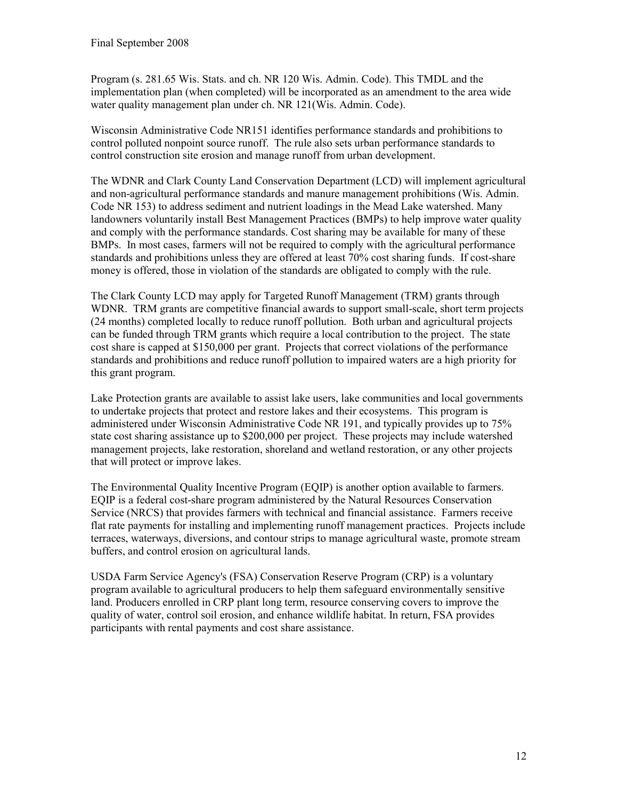Program (s. 281.65 Wis. Stats. and ch. NR 120 Wis. Admin. Code). This TMDL and the implementation plan (when completed) will be incorporated as an amendment to the area wide water quality management plan under ch. NR 121(Wis. Admin. Code).

Wisconsin Administrative Code NR151 identifies performance standards and prohibitions to control polluted nonpoint source runoff. The rule also sets urban performance standards to control construction site erosion and manage runoff from urban development.

The WDNR and Clark County Land Conservation Department (LCD) will implement agricultural and non-agricultural performance standards and manure management prohibitions (Wis. Admin. Code NR 153) to address sediment and nutrient loadings in the Mead Lake watershed. Many landowners voluntarily install Best Management Practices (BMPs) to help improve water quality and comply with the performance standards. Cost sharing may be available for many of these BMPs. In most cases, farmers will not be required to comply with the agricultural performance standards and prohibitions unless they are offered at least 70% cost sharing funds. If cost-share money is offered, those in violation of the standards are obligated to comply with the rule.

The Clark County LCD may apply for Targeted Runoff Management (TRM) grants through WDNR. TRM grants are competitive financial awards to support small-scale, short term projects (24 months) completed locally to reduce runoff pollution. Both urban and agricultural projects can be funded through TRM grants which require a local contribution to the project. The state cost share is capped at \$150,000 per grant. Projects that correct violations of the performance standards and prohibitions and reduce runoff pollution to impaired waters are a high priority for this grant program.

Lake Protection grants are available to assist lake users, lake communities and local governments to undertake projects that protect and restore lakes and their ecosystems. This program is administered under Wisconsin Administrative Code NR 191, and typically provides up to 75% state cost sharing assistance up to \$200,000 per project. These projects may include watershed management projects, lake restoration, shoreland and wetland restoration, or any other projects that will protect or improve lakes.

The Environmental Quality Incentive Program (EQIP) is another option available to farmers. EQIP is a federal cost-share program administered by the Natural Resources Conservation Service (NRCS) that provides farmers with technical and financial assistance. Farmers receive flat rate payments for installing and implementing runoff management practices. Projects include terraces, waterways, diversions, and contour strips to manage agricultural waste, promote stream buffers, and control erosion on agricultural lands.

USDA Farm Service Agency's (FSA) Conservation Reserve Program (CRP) is a voluntary program available to agricultural producers to help them safeguard environmentally sensitive land. Producers enrolled in CRP plant long term, resource conserving covers to improve the quality of water, control soil erosion, and enhance wildlife habitat. In return, FSA provides participants with rental payments and cost share assistance.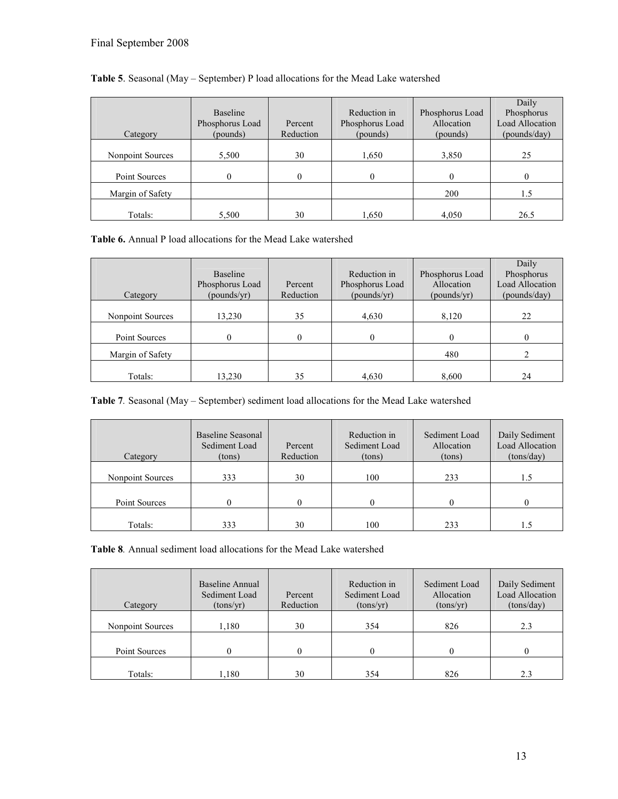|                  |                 |           |                 |                 | Daily                  |
|------------------|-----------------|-----------|-----------------|-----------------|------------------------|
|                  | Baseline        |           | Reduction in    | Phosphorus Load | Phosphorus             |
|                  | Phosphorus Load | Percent   | Phosphorus Load | Allocation      | <b>Load Allocation</b> |
| Category         | (pounds)        | Reduction | (pounds)        | (pounds)        | (pounds/day)           |
|                  |                 |           |                 |                 |                        |
| Nonpoint Sources | 5,500           | 30        | 1,650           | 3,850           | 25                     |
|                  |                 |           |                 |                 |                        |
| Point Sources    | 0               | 0         | $\Omega$        |                 |                        |
| Margin of Safety |                 |           |                 | 200             | 1.5                    |
|                  |                 |           |                 |                 |                        |
| Totals:          | 5,500           | 30        | 1,650           | 4,050           | 26.5                   |

#### Table 5. Seasonal (May – September) P load allocations for the Mead Lake watershed

Table 6. Annual P load allocations for the Mead Lake watershed

|                  |                 |           |                 |                 | Daily                  |
|------------------|-----------------|-----------|-----------------|-----------------|------------------------|
|                  | <b>Baseline</b> |           | Reduction in    | Phosphorus Load | Phosphorus             |
|                  | Phosphorus Load | Percent   | Phosphorus Load | Allocation      | <b>Load Allocation</b> |
| Category         | (pounds/yr)     | Reduction | (pounds/yr)     | (pounds/yr)     | (pounds/day)           |
|                  |                 |           |                 |                 |                        |
| Nonpoint Sources | 13,230          | 35        | 4,630           | 8,120           | 22                     |
|                  |                 |           |                 |                 |                        |
| Point Sources    | 0               | $\Omega$  | $\theta$        | $\Omega$        |                        |
| Margin of Safety |                 |           |                 | 480             |                        |
|                  |                 |           |                 |                 |                        |
| Totals:          | 13,230          | 35        | 4,630           | 8,600           | 24                     |

Table 7. Seasonal (May – September) sediment load allocations for the Mead Lake watershed

| Category         | Baseline Seasonal<br>Sediment Load<br>(tons) | Percent<br>Reduction | Reduction in<br>Sediment Load<br>(tons) | Sediment Load<br>Allocation<br>(tons) | Daily Sediment<br><b>Load Allocation</b><br>(tons/day) |
|------------------|----------------------------------------------|----------------------|-----------------------------------------|---------------------------------------|--------------------------------------------------------|
| Nonpoint Sources | 333                                          | 30                   | 100                                     | 233                                   | 1.5                                                    |
| Point Sources    |                                              |                      |                                         |                                       |                                                        |
| Totals:          | 333                                          | 30                   | 100                                     | 233                                   |                                                        |

Table 8. Annual sediment load allocations for the Mead Lake watershed

| Category         | Baseline Annual<br>Sediment Load<br>(tons/yr) | Percent<br>Reduction | Reduction in<br>Sediment Load<br>(tons/yr) | Sediment Load<br>Allocation<br>(tons/yr) | Daily Sediment<br>Load Allocation<br>(tons/day) |
|------------------|-----------------------------------------------|----------------------|--------------------------------------------|------------------------------------------|-------------------------------------------------|
| Nonpoint Sources | 1,180                                         | 30                   | 354                                        | 826                                      | 2.3                                             |
| Point Sources    |                                               |                      |                                            |                                          |                                                 |
|                  |                                               |                      |                                            |                                          |                                                 |
| Totals:          | 1.180                                         | 30                   | 354                                        | 826                                      | 2.3                                             |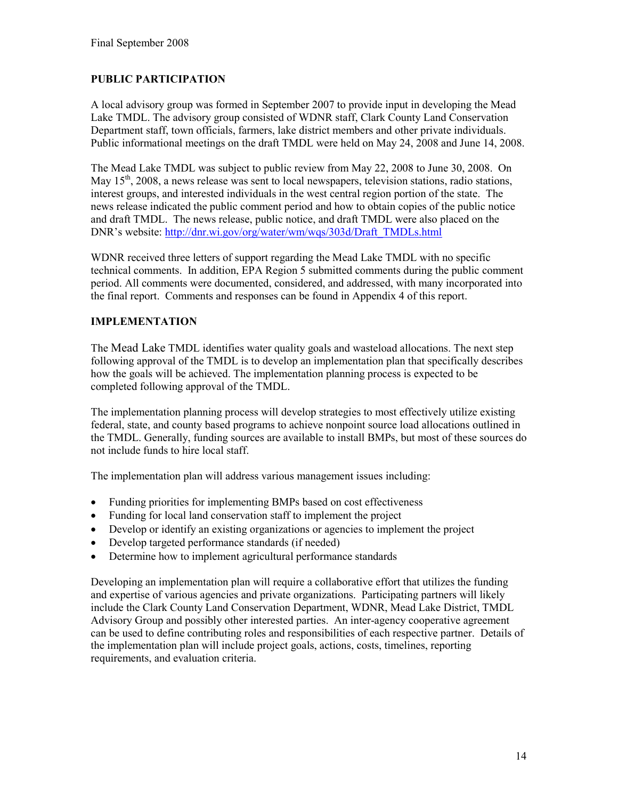## PUBLIC PARTICIPATION

A local advisory group was formed in September 2007 to provide input in developing the Mead Lake TMDL. The advisory group consisted of WDNR staff, Clark County Land Conservation Department staff, town officials, farmers, lake district members and other private individuals. Public informational meetings on the draft TMDL were held on May 24, 2008 and June 14, 2008.

The Mead Lake TMDL was subject to public review from May 22, 2008 to June 30, 2008. On May  $15<sup>th</sup>$ , 2008, a news release was sent to local newspapers, television stations, radio stations, interest groups, and interested individuals in the west central region portion of the state. The news release indicated the public comment period and how to obtain copies of the public notice and draft TMDL. The news release, public notice, and draft TMDL were also placed on the DNR's website: http://dnr.wi.gov/org/water/wm/wqs/303d/Draft\_TMDLs.html

WDNR received three letters of support regarding the Mead Lake TMDL with no specific technical comments. In addition, EPA Region 5 submitted comments during the public comment period. All comments were documented, considered, and addressed, with many incorporated into the final report. Comments and responses can be found in Appendix 4 of this report.

## IMPLEMENTATION

The Mead Lake TMDL identifies water quality goals and wasteload allocations. The next step following approval of the TMDL is to develop an implementation plan that specifically describes how the goals will be achieved. The implementation planning process is expected to be completed following approval of the TMDL.

The implementation planning process will develop strategies to most effectively utilize existing federal, state, and county based programs to achieve nonpoint source load allocations outlined in the TMDL. Generally, funding sources are available to install BMPs, but most of these sources do not include funds to hire local staff.

The implementation plan will address various management issues including:

- Funding priorities for implementing BMPs based on cost effectiveness
- Funding for local land conservation staff to implement the project
- Develop or identify an existing organizations or agencies to implement the project
- Develop targeted performance standards (if needed)
- Determine how to implement agricultural performance standards

Developing an implementation plan will require a collaborative effort that utilizes the funding and expertise of various agencies and private organizations. Participating partners will likely include the Clark County Land Conservation Department, WDNR, Mead Lake District, TMDL Advisory Group and possibly other interested parties. An inter-agency cooperative agreement can be used to define contributing roles and responsibilities of each respective partner. Details of the implementation plan will include project goals, actions, costs, timelines, reporting requirements, and evaluation criteria.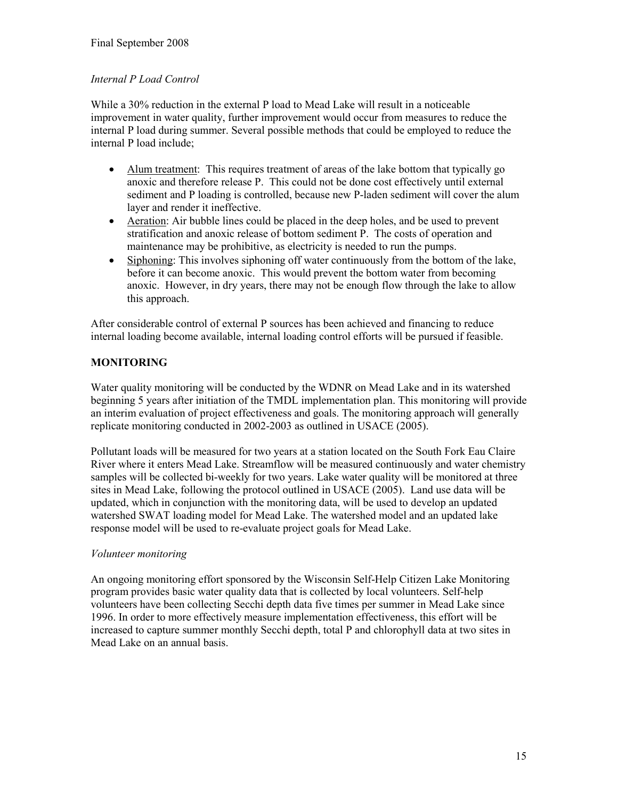## Internal P Load Control

While a 30% reduction in the external P load to Mead Lake will result in a noticeable improvement in water quality, further improvement would occur from measures to reduce the internal P load during summer. Several possible methods that could be employed to reduce the internal P load include;

- Alum treatment: This requires treatment of areas of the lake bottom that typically go anoxic and therefore release P. This could not be done cost effectively until external sediment and P loading is controlled, because new P-laden sediment will cover the alum layer and render it ineffective.
- Aeration: Air bubble lines could be placed in the deep holes, and be used to prevent stratification and anoxic release of bottom sediment P. The costs of operation and maintenance may be prohibitive, as electricity is needed to run the pumps.
- Siphoning: This involves siphoning off water continuously from the bottom of the lake, before it can become anoxic. This would prevent the bottom water from becoming anoxic. However, in dry years, there may not be enough flow through the lake to allow this approach.

After considerable control of external P sources has been achieved and financing to reduce internal loading become available, internal loading control efforts will be pursued if feasible.

## MONITORING

Water quality monitoring will be conducted by the WDNR on Mead Lake and in its watershed beginning 5 years after initiation of the TMDL implementation plan. This monitoring will provide an interim evaluation of project effectiveness and goals. The monitoring approach will generally replicate monitoring conducted in 2002-2003 as outlined in USACE (2005).

Pollutant loads will be measured for two years at a station located on the South Fork Eau Claire River where it enters Mead Lake. Streamflow will be measured continuously and water chemistry samples will be collected bi-weekly for two years. Lake water quality will be monitored at three sites in Mead Lake, following the protocol outlined in USACE (2005). Land use data will be updated, which in conjunction with the monitoring data, will be used to develop an updated watershed SWAT loading model for Mead Lake. The watershed model and an updated lake response model will be used to re-evaluate project goals for Mead Lake.

### Volunteer monitoring

An ongoing monitoring effort sponsored by the Wisconsin Self-Help Citizen Lake Monitoring program provides basic water quality data that is collected by local volunteers. Self-help volunteers have been collecting Secchi depth data five times per summer in Mead Lake since 1996. In order to more effectively measure implementation effectiveness, this effort will be increased to capture summer monthly Secchi depth, total P and chlorophyll data at two sites in Mead Lake on an annual basis.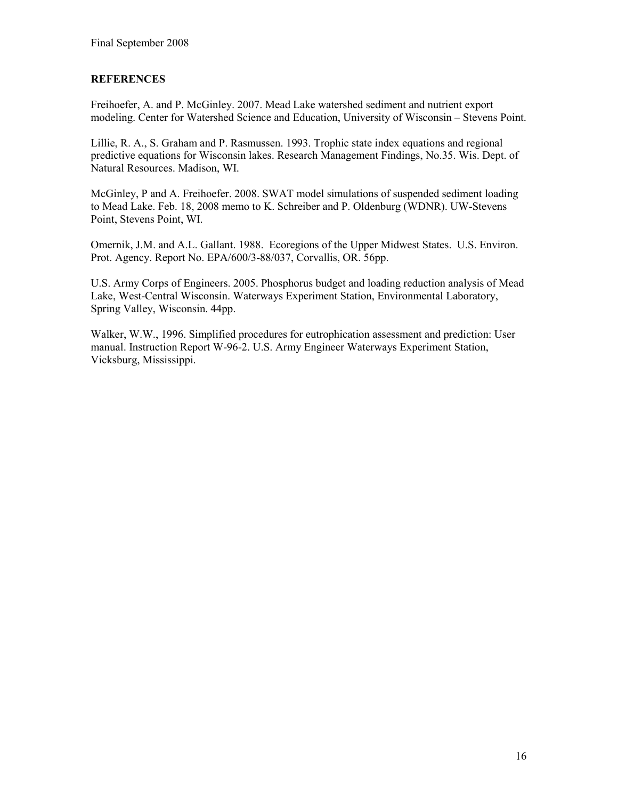### **REFERENCES**

Freihoefer, A. and P. McGinley. 2007. Mead Lake watershed sediment and nutrient export modeling. Center for Watershed Science and Education, University of Wisconsin – Stevens Point.

Lillie, R. A., S. Graham and P. Rasmussen. 1993. Trophic state index equations and regional predictive equations for Wisconsin lakes. Research Management Findings, No.35. Wis. Dept. of Natural Resources. Madison, WI.

McGinley, P and A. Freihoefer. 2008. SWAT model simulations of suspended sediment loading to Mead Lake. Feb. 18, 2008 memo to K. Schreiber and P. Oldenburg (WDNR). UW-Stevens Point, Stevens Point, WI.

Omernik, J.M. and A.L. Gallant. 1988. Ecoregions of the Upper Midwest States. U.S. Environ. Prot. Agency. Report No. EPA/600/3-88/037, Corvallis, OR. 56pp.

U.S. Army Corps of Engineers. 2005. Phosphorus budget and loading reduction analysis of Mead Lake, West-Central Wisconsin. Waterways Experiment Station, Environmental Laboratory, Spring Valley, Wisconsin. 44pp.

Walker, W.W., 1996. Simplified procedures for eutrophication assessment and prediction: User manual. Instruction Report W-96-2. U.S. Army Engineer Waterways Experiment Station, Vicksburg, Mississippi.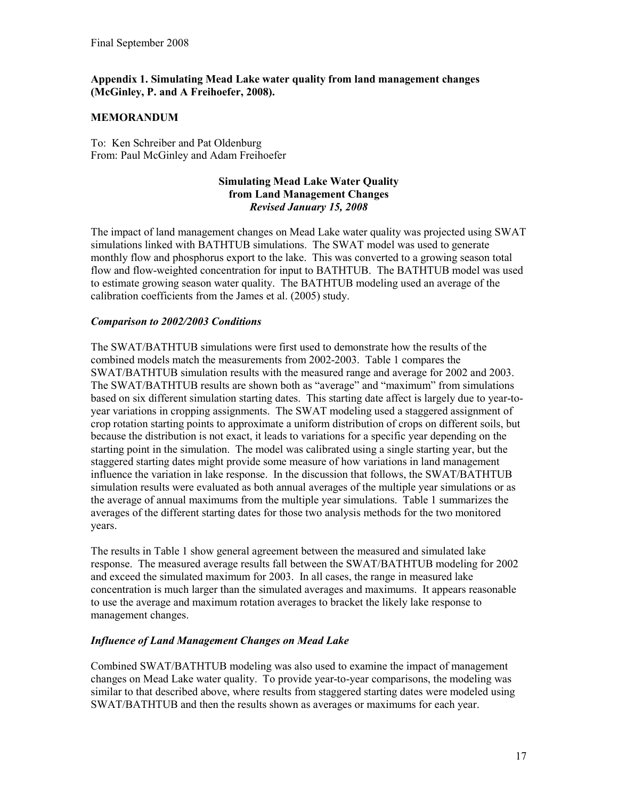#### Appendix 1. Simulating Mead Lake water quality from land management changes (McGinley, P. and A Freihoefer, 2008).

#### MEMORANDUM

To: Ken Schreiber and Pat Oldenburg From: Paul McGinley and Adam Freihoefer

#### Simulating Mead Lake Water Quality from Land Management Changes Revised January 15, 2008

The impact of land management changes on Mead Lake water quality was projected using SWAT simulations linked with BATHTUB simulations. The SWAT model was used to generate monthly flow and phosphorus export to the lake. This was converted to a growing season total flow and flow-weighted concentration for input to BATHTUB. The BATHTUB model was used to estimate growing season water quality. The BATHTUB modeling used an average of the calibration coefficients from the James et al. (2005) study.

#### Comparison to 2002/2003 Conditions

The SWAT/BATHTUB simulations were first used to demonstrate how the results of the combined models match the measurements from 2002-2003. Table 1 compares the SWAT/BATHTUB simulation results with the measured range and average for 2002 and 2003. The SWAT/BATHTUB results are shown both as "average" and "maximum" from simulations based on six different simulation starting dates. This starting date affect is largely due to year-toyear variations in cropping assignments. The SWAT modeling used a staggered assignment of crop rotation starting points to approximate a uniform distribution of crops on different soils, but because the distribution is not exact, it leads to variations for a specific year depending on the starting point in the simulation. The model was calibrated using a single starting year, but the staggered starting dates might provide some measure of how variations in land management influence the variation in lake response. In the discussion that follows, the SWAT/BATHTUB simulation results were evaluated as both annual averages of the multiple year simulations or as the average of annual maximums from the multiple year simulations. Table 1 summarizes the averages of the different starting dates for those two analysis methods for the two monitored years.

The results in Table 1 show general agreement between the measured and simulated lake response. The measured average results fall between the SWAT/BATHTUB modeling for 2002 and exceed the simulated maximum for 2003. In all cases, the range in measured lake concentration is much larger than the simulated averages and maximums. It appears reasonable to use the average and maximum rotation averages to bracket the likely lake response to management changes.

#### Influence of Land Management Changes on Mead Lake

Combined SWAT/BATHTUB modeling was also used to examine the impact of management changes on Mead Lake water quality. To provide year-to-year comparisons, the modeling was similar to that described above, where results from staggered starting dates were modeled using SWAT/BATHTUB and then the results shown as averages or maximums for each year.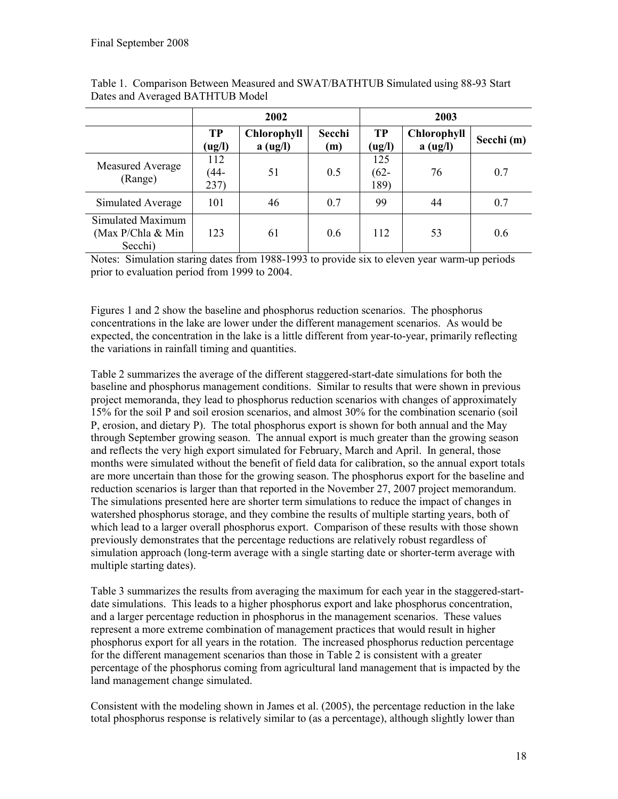|                                                     | 2002                |                                |               | 2003                   |                                |            |
|-----------------------------------------------------|---------------------|--------------------------------|---------------|------------------------|--------------------------------|------------|
|                                                     | <b>TP</b><br>(ug/l) | <b>Chlorophyll</b><br>a (ug/l) | Secchi<br>(m) | <b>TP</b><br>(ug/l)    | <b>Chlorophyll</b><br>a (ug/l) | Secchi (m) |
| Measured Average<br>(Range)                         | 112<br>(44-<br>237) | 51                             | 0.5           | 125<br>$(62 -$<br>189) | 76                             | 0.7        |
| Simulated Average                                   | 101                 | 46                             | 0.7           | 99                     | 44                             | 0.7        |
| Simulated Maximum<br>(Max P/Chla $& Min$<br>Secchi) | 123                 | 61                             | 0.6           | 112                    | 53                             | 0.6        |

Table 1. Comparison Between Measured and SWAT/BATHTUB Simulated using 88-93 Start Dates and Averaged BATHTUB Model

Notes: Simulation staring dates from 1988-1993 to provide six to eleven year warm-up periods prior to evaluation period from 1999 to 2004.

Figures 1 and 2 show the baseline and phosphorus reduction scenarios. The phosphorus concentrations in the lake are lower under the different management scenarios. As would be expected, the concentration in the lake is a little different from year-to-year, primarily reflecting the variations in rainfall timing and quantities.

Table 2 summarizes the average of the different staggered-start-date simulations for both the baseline and phosphorus management conditions. Similar to results that were shown in previous project memoranda, they lead to phosphorus reduction scenarios with changes of approximately 15% for the soil P and soil erosion scenarios, and almost 30% for the combination scenario (soil P, erosion, and dietary P). The total phosphorus export is shown for both annual and the May through September growing season. The annual export is much greater than the growing season and reflects the very high export simulated for February, March and April. In general, those months were simulated without the benefit of field data for calibration, so the annual export totals are more uncertain than those for the growing season. The phosphorus export for the baseline and reduction scenarios is larger than that reported in the November 27, 2007 project memorandum. The simulations presented here are shorter term simulations to reduce the impact of changes in watershed phosphorus storage, and they combine the results of multiple starting years, both of which lead to a larger overall phosphorus export. Comparison of these results with those shown previously demonstrates that the percentage reductions are relatively robust regardless of simulation approach (long-term average with a single starting date or shorter-term average with multiple starting dates).

Table 3 summarizes the results from averaging the maximum for each year in the staggered-startdate simulations. This leads to a higher phosphorus export and lake phosphorus concentration, and a larger percentage reduction in phosphorus in the management scenarios. These values represent a more extreme combination of management practices that would result in higher phosphorus export for all years in the rotation. The increased phosphorus reduction percentage for the different management scenarios than those in Table 2 is consistent with a greater percentage of the phosphorus coming from agricultural land management that is impacted by the land management change simulated.

Consistent with the modeling shown in James et al. (2005), the percentage reduction in the lake total phosphorus response is relatively similar to (as a percentage), although slightly lower than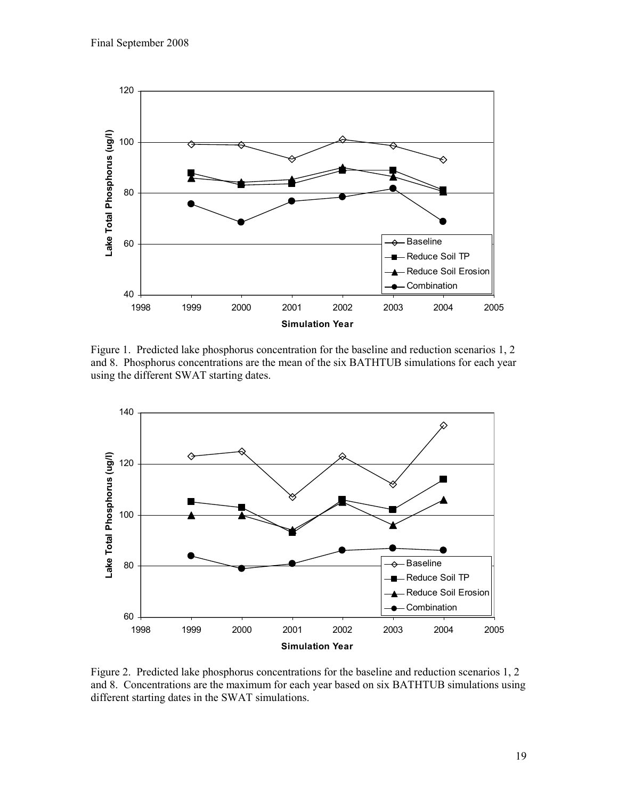

Figure 1. Predicted lake phosphorus concentration for the baseline and reduction scenarios 1, 2 and 8. Phosphorus concentrations are the mean of the six BATHTUB simulations for each year using the different SWAT starting dates.



Figure 2. Predicted lake phosphorus concentrations for the baseline and reduction scenarios 1, 2 and 8. Concentrations are the maximum for each year based on six BATHTUB simulations using different starting dates in the SWAT simulations.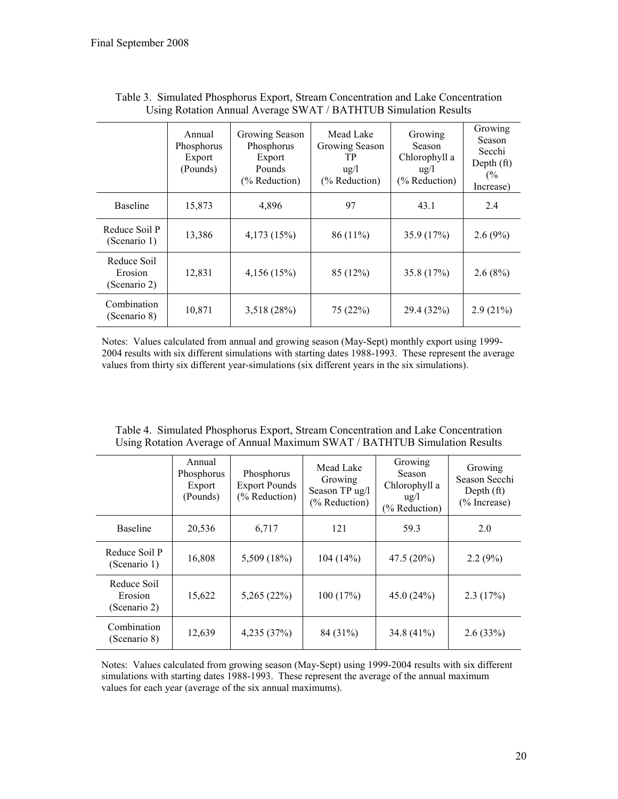Reduce Soil Erosion (Scenario 2)

Combination

|                                        | Annual<br>Phosphorus<br>Export<br>(Pounds) | Growing Season<br>Phosphorus<br>Export<br>Pounds<br>(% Reduction) | Mead Lake<br>Growing Season<br>TP<br>$\frac{u}{g}$<br>(% Reduction) | Growing<br>Season<br>Chlorophyll a<br>$\frac{u}{g}$<br>$(\%$ Reduction) | Growing<br>Season<br>Secchi<br>Depth $(ft)$<br>(%<br>Increase) |
|----------------------------------------|--------------------------------------------|-------------------------------------------------------------------|---------------------------------------------------------------------|-------------------------------------------------------------------------|----------------------------------------------------------------|
| <b>Baseline</b>                        | 15,873                                     | 4,896                                                             | 97                                                                  | 43.1                                                                    | 2.4                                                            |
| Reduce Soil P<br>(Scenario 1)          | 13,386                                     | 4,173 (15%)                                                       | 86 (11%)                                                            | 35.9 (17%)                                                              | $2.6(9\%)$                                                     |
| Reduce Soil<br>Erosion<br>(Scenario 2) | 12,831                                     | 4,156(15%)                                                        | 85 (12%)                                                            | 35.8 (17%)                                                              | 2.6(8%)                                                        |
| Combination<br>(Scenario 8)            | 10,871                                     | 3,518(28%)                                                        | 75 (22%)                                                            | 29.4 (32%)                                                              | 2.9(21%)                                                       |

Table 3. Simulated Phosphorus Export, Stream Concentration and Lake Concentration Using Rotation Annual Average SWAT / BATHTUB Simulation Results

Notes: Values calculated from annual and growing season (May-Sept) monthly export using 1999- 2004 results with six different simulations with starting dates 1988-1993. These represent the average values from thirty six different year-simulations (six different years in the six simulations).

| Comp roundi in cherc of filliam munimum official positive connumeron recogni |                                            |                                                     |                                                         |                                                                    |                                                          |  |  |
|------------------------------------------------------------------------------|--------------------------------------------|-----------------------------------------------------|---------------------------------------------------------|--------------------------------------------------------------------|----------------------------------------------------------|--|--|
|                                                                              | Annual<br>Phosphorus<br>Export<br>(Pounds) | Phosphorus<br><b>Export Pounds</b><br>(% Reduction) | Mead Lake<br>Growing<br>Season TP ug/l<br>(% Reduction) | Growing<br>Season<br>Chlorophyll a<br>$u\alpha/l$<br>(% Reduction) | Growing<br>Season Secchi<br>Depth $(ft)$<br>(% Increase) |  |  |
| <b>Baseline</b>                                                              | 20,536                                     | 6,717                                               | 121                                                     | 59.3                                                               | 2.0                                                      |  |  |
| Reduce Soil P<br>(Scenario 1)                                                | 16,808                                     | 5,509 (18%)                                         | 104(14%)                                                | 47.5 (20%)                                                         | 2.2(9%)                                                  |  |  |

Table 4. Simulated Phosphorus Export, Stream Concentration and Lake Concentration Using Rotation Average of Annual Maximum SWAT / BATHTUB Simulation Results

Notes: Values calculated from growing season (May-Sept) using 1999-2004 results with six different simulations with starting dates 1988-1993. These represent the average of the annual maximum values for each year (average of the six annual maximums).

(Scenario 8)  $\begin{bmatrix} 12,639 \\ 12,639 \end{bmatrix}$  4,235 (37%) 84 (31%) 34.8 (41%) 2.6 (33%)

15,622 5,265 (22%) 100 (17%) 45.0 (24%) 2.3 (17%)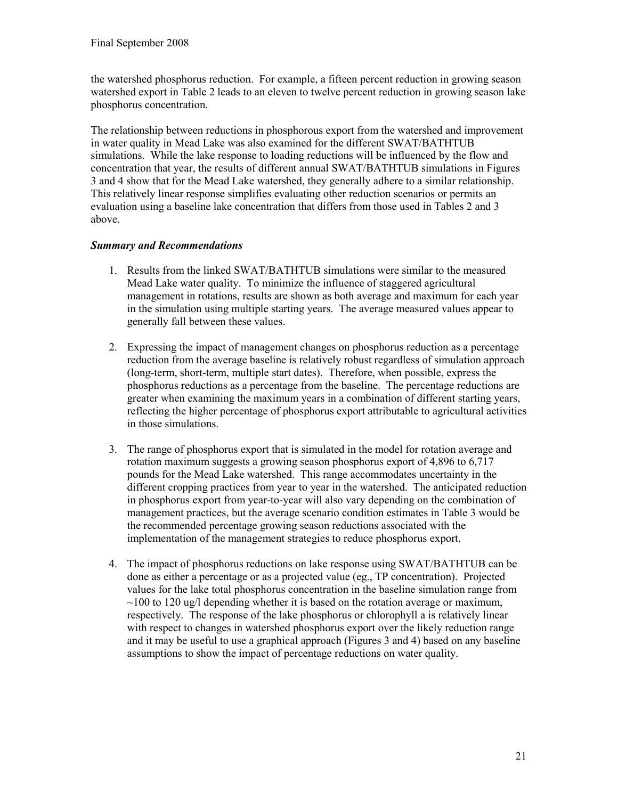the watershed phosphorus reduction. For example, a fifteen percent reduction in growing season watershed export in Table 2 leads to an eleven to twelve percent reduction in growing season lake phosphorus concentration.

The relationship between reductions in phosphorous export from the watershed and improvement in water quality in Mead Lake was also examined for the different SWAT/BATHTUB simulations. While the lake response to loading reductions will be influenced by the flow and concentration that year, the results of different annual SWAT/BATHTUB simulations in Figures 3 and 4 show that for the Mead Lake watershed, they generally adhere to a similar relationship. This relatively linear response simplifies evaluating other reduction scenarios or permits an evaluation using a baseline lake concentration that differs from those used in Tables 2 and 3 above.

### Summary and Recommendations

- 1. Results from the linked SWAT/BATHTUB simulations were similar to the measured Mead Lake water quality. To minimize the influence of staggered agricultural management in rotations, results are shown as both average and maximum for each year in the simulation using multiple starting years. The average measured values appear to generally fall between these values.
- 2. Expressing the impact of management changes on phosphorus reduction as a percentage reduction from the average baseline is relatively robust regardless of simulation approach (long-term, short-term, multiple start dates). Therefore, when possible, express the phosphorus reductions as a percentage from the baseline. The percentage reductions are greater when examining the maximum years in a combination of different starting years, reflecting the higher percentage of phosphorus export attributable to agricultural activities in those simulations.
- 3. The range of phosphorus export that is simulated in the model for rotation average and rotation maximum suggests a growing season phosphorus export of 4,896 to 6,717 pounds for the Mead Lake watershed. This range accommodates uncertainty in the different cropping practices from year to year in the watershed. The anticipated reduction in phosphorus export from year-to-year will also vary depending on the combination of management practices, but the average scenario condition estimates in Table 3 would be the recommended percentage growing season reductions associated with the implementation of the management strategies to reduce phosphorus export.
- 4. The impact of phosphorus reductions on lake response using SWAT/BATHTUB can be done as either a percentage or as a projected value (eg., TP concentration). Projected values for the lake total phosphorus concentration in the baseline simulation range from  $\sim$ 100 to 120 ug/l depending whether it is based on the rotation average or maximum, respectively. The response of the lake phosphorus or chlorophyll a is relatively linear with respect to changes in watershed phosphorus export over the likely reduction range and it may be useful to use a graphical approach (Figures 3 and 4) based on any baseline assumptions to show the impact of percentage reductions on water quality.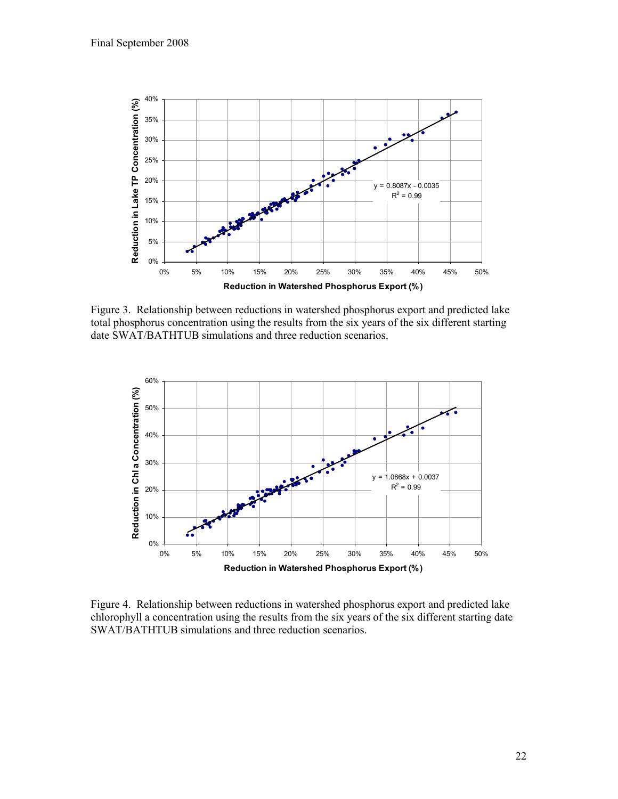

Figure 3. Relationship between reductions in watershed phosphorus export and predicted lake total phosphorus concentration using the results from the six years of the six different starting date SWAT/BATHTUB simulations and three reduction scenarios.



Figure 4. Relationship between reductions in watershed phosphorus export and predicted lake chlorophyll a concentration using the results from the six years of the six different starting date SWAT/BATHTUB simulations and three reduction scenarios.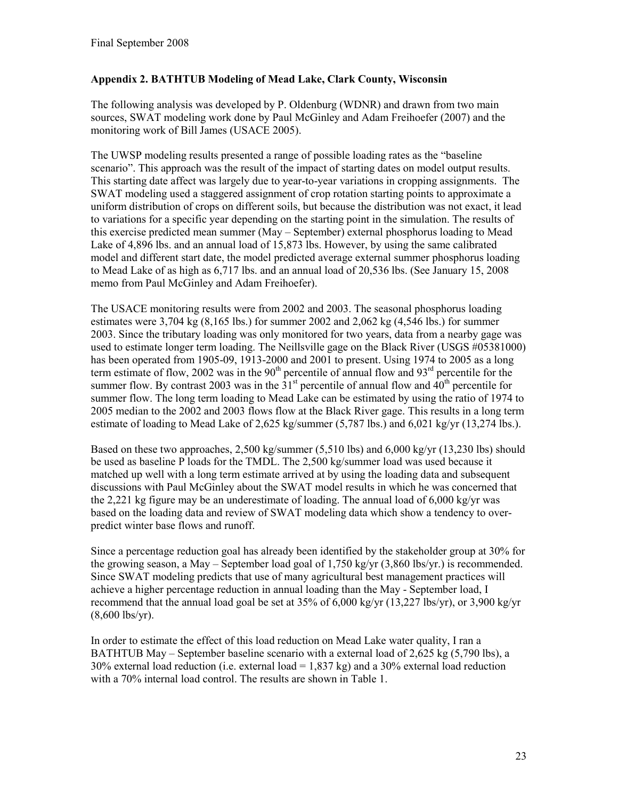## Appendix 2. BATHTUB Modeling of Mead Lake, Clark County, Wisconsin

The following analysis was developed by P. Oldenburg (WDNR) and drawn from two main sources, SWAT modeling work done by Paul McGinley and Adam Freihoefer (2007) and the monitoring work of Bill James (USACE 2005).

The UWSP modeling results presented a range of possible loading rates as the "baseline scenario". This approach was the result of the impact of starting dates on model output results. This starting date affect was largely due to year-to-year variations in cropping assignments. The SWAT modeling used a staggered assignment of crop rotation starting points to approximate a uniform distribution of crops on different soils, but because the distribution was not exact, it lead to variations for a specific year depending on the starting point in the simulation. The results of this exercise predicted mean summer (May – September) external phosphorus loading to Mead Lake of 4,896 lbs. and an annual load of 15,873 lbs. However, by using the same calibrated model and different start date, the model predicted average external summer phosphorus loading to Mead Lake of as high as 6,717 lbs. and an annual load of 20,536 lbs. (See January 15, 2008 memo from Paul McGinley and Adam Freihoefer).

The USACE monitoring results were from 2002 and 2003. The seasonal phosphorus loading estimates were  $3,704 \text{ kg} (8,165 \text{ lbs.})$  for summer 2002 and  $2,062 \text{ kg} (4,546 \text{ lbs.})$  for summer 2003. Since the tributary loading was only monitored for two years, data from a nearby gage was used to estimate longer term loading. The Neillsville gage on the Black River (USGS #05381000) has been operated from 1905-09, 1913-2000 and 2001 to present. Using 1974 to 2005 as a long term estimate of flow, 2002 was in the  $90<sup>th</sup>$  percentile of annual flow and  $93<sup>rd</sup>$  percentile for the summer flow. By contrast 2003 was in the  $31<sup>st</sup>$  percentile of annual flow and  $40<sup>th</sup>$  percentile for summer flow. The long term loading to Mead Lake can be estimated by using the ratio of 1974 to 2005 median to the 2002 and 2003 flows flow at the Black River gage. This results in a long term estimate of loading to Mead Lake of 2,625 kg/summer (5,787 lbs.) and 6,021 kg/yr (13,274 lbs.).

Based on these two approaches,  $2,500 \text{ kg/summer} (5,510 \text{ lbs})$  and  $6,000 \text{ kg/yr} (13,230 \text{ lbs})$  should be used as baseline P loads for the TMDL. The 2,500 kg/summer load was used because it matched up well with a long term estimate arrived at by using the loading data and subsequent discussions with Paul McGinley about the SWAT model results in which he was concerned that the 2,221 kg figure may be an underestimate of loading. The annual load of  $6,000 \text{ kg/yr}$  was based on the loading data and review of SWAT modeling data which show a tendency to overpredict winter base flows and runoff.

Since a percentage reduction goal has already been identified by the stakeholder group at 30% for the growing season, a May – September load goal of 1,750 kg/yr (3,860 lbs/yr.) is recommended. Since SWAT modeling predicts that use of many agricultural best management practices will achieve a higher percentage reduction in annual loading than the May - September load, I recommend that the annual load goal be set at 35% of 6,000 kg/yr (13,227 lbs/yr), or 3,900 kg/yr (8,600 lbs/yr).

In order to estimate the effect of this load reduction on Mead Lake water quality, I ran a BATHTUB May – September baseline scenario with a external load of 2,625 kg (5,790 lbs), a  $30\%$  external load reduction (i.e. external load = 1,837 kg) and a 30% external load reduction with a 70% internal load control. The results are shown in Table 1.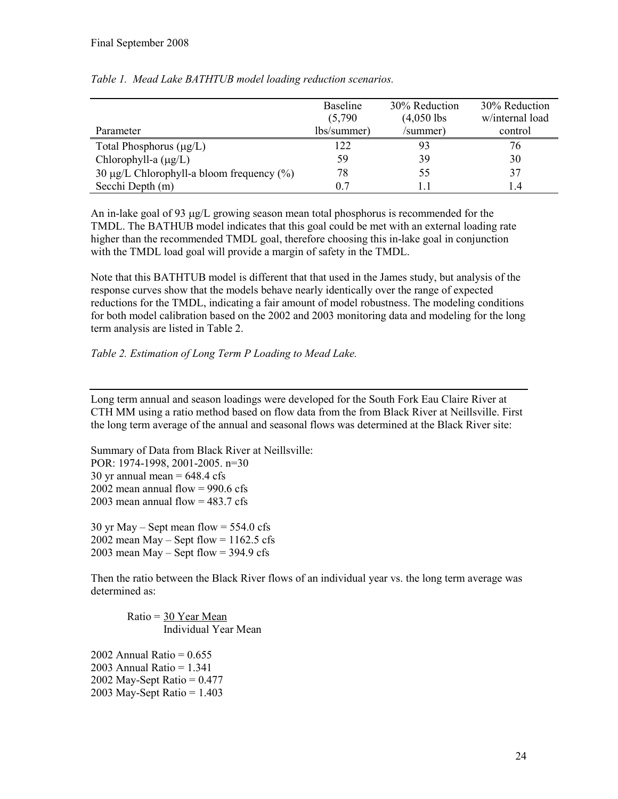|                                                | <b>Baseline</b><br>(5,790) | 30% Reduction<br>$(4,050$ lbs | 30% Reduction<br>w/internal load |
|------------------------------------------------|----------------------------|-------------------------------|----------------------------------|
| Parameter                                      | lbs/summer)                | /summer)                      | control                          |
| Total Phosphorus $(\mu g/L)$                   | 122                        |                               | 76                               |
| Chlorophyll-a $(\mu g/L)$                      | 59                         | 39                            | 30                               |
| 30 $\mu$ g/L Chlorophyll-a bloom frequency (%) | 78                         | 55                            | 37                               |
| Secchi Depth (m)                               | 0.7                        |                               | $\overline{4}$                   |

#### Table 1. Mead Lake BATHTUB model loading reduction scenarios.

An in-lake goal of 93 µg/L growing season mean total phosphorus is recommended for the TMDL. The BATHUB model indicates that this goal could be met with an external loading rate higher than the recommended TMDL goal, therefore choosing this in-lake goal in conjunction with the TMDL load goal will provide a margin of safety in the TMDL.

Note that this BATHTUB model is different that that used in the James study, but analysis of the response curves show that the models behave nearly identically over the range of expected reductions for the TMDL, indicating a fair amount of model robustness. The modeling conditions for both model calibration based on the 2002 and 2003 monitoring data and modeling for the long term analysis are listed in Table 2.

#### Table 2. Estimation of Long Term P Loading to Mead Lake.

Long term annual and season loadings were developed for the South Fork Eau Claire River at CTH MM using a ratio method based on flow data from the from Black River at Neillsville. First the long term average of the annual and seasonal flows was determined at the Black River site:

Summary of Data from Black River at Neillsville: POR: 1974-1998, 2001-2005. n=30 30 yr annual mean  $= 648.4$  cfs 2002 mean annual flow  $= 990.6$  cfs 2003 mean annual flow  $= 483.7 \text{ cfs}$ 

 $30$  yr May – Sept mean flow =  $554.0$  cfs 2002 mean May – Sept flow =  $1162.5$  cfs 2003 mean May – Sept flow =  $394.9$  cfs

Then the ratio between the Black River flows of an individual year vs. the long term average was determined as:

Ratio = 30 Year Mean Individual Year Mean

2002 Annual Ratio =  $0.655$ 2003 Annual Ratio = 1.341  $2002$  May-Sept Ratio =  $0.477$ 2003 May-Sept Ratio = 1.403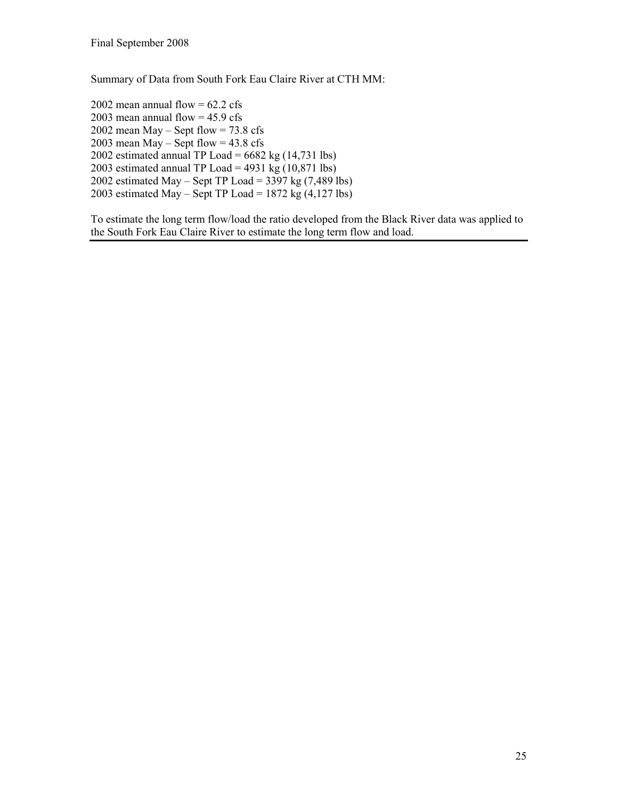Summary of Data from South Fork Eau Claire River at CTH MM:

2002 mean annual flow  $= 62.2$  cfs 2003 mean annual flow  $= 45.9$  cfs 2002 mean May – Sept flow =  $73.8 \text{ cfs}$ 2003 mean May – Sept flow =  $43.8 \text{ cfs}$ 2002 estimated annual TP Load =  $6682$  kg  $(14,731$  lbs) 2003 estimated annual TP Load =  $4931 \text{ kg}$  (10,871 lbs) 2002 estimated May – Sept TP Load =  $3397$  kg (7,489 lbs) 2003 estimated May – Sept TP Load = 1872 kg  $(4,127 \text{ lbs})$ 

To estimate the long term flow/load the ratio developed from the Black River data was applied to the South Fork Eau Claire River to estimate the long term flow and load.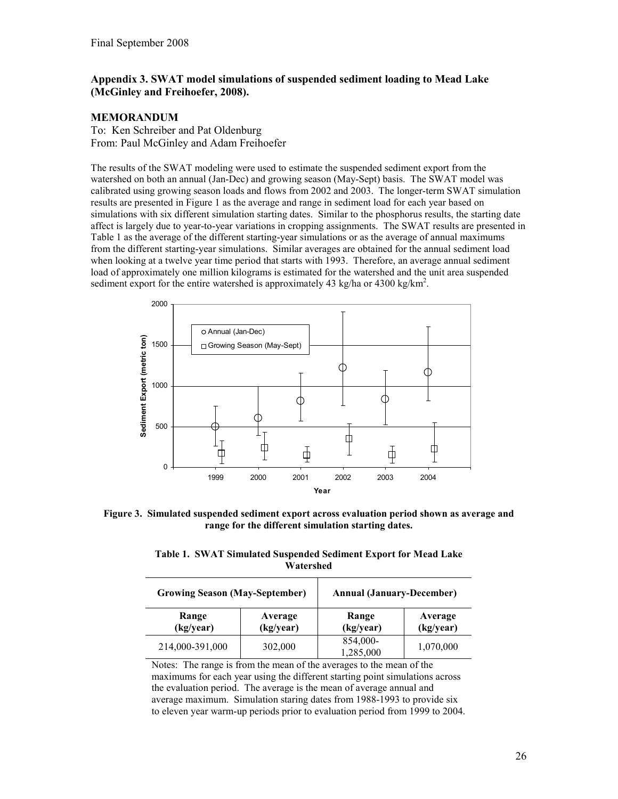#### Appendix 3. SWAT model simulations of suspended sediment loading to Mead Lake (McGinley and Freihoefer, 2008).

#### MEMORANDUM

To: Ken Schreiber and Pat Oldenburg From: Paul McGinley and Adam Freihoefer

The results of the SWAT modeling were used to estimate the suspended sediment export from the watershed on both an annual (Jan-Dec) and growing season (May-Sept) basis. The SWAT model was calibrated using growing season loads and flows from 2002 and 2003. The longer-term SWAT simulation results are presented in Figure 1 as the average and range in sediment load for each year based on simulations with six different simulation starting dates. Similar to the phosphorus results, the starting date affect is largely due to year-to-year variations in cropping assignments. The SWAT results are presented in Table 1 as the average of the different starting-year simulations or as the average of annual maximums from the different starting-year simulations. Similar averages are obtained for the annual sediment load when looking at a twelve year time period that starts with 1993. Therefore, an average annual sediment load of approximately one million kilograms is estimated for the watershed and the unit area suspended sediment export for the entire watershed is approximately 43 kg/ha or 4300 kg/km<sup>2</sup>.



Figure 3. Simulated suspended sediment export across evaluation period shown as average and range for the different simulation starting dates.

Table 1. SWAT Simulated Suspended Sediment Export for Mead Lake Watershed

| <b>Growing Season (May-September)</b> |                      | <b>Annual (January-December)</b> |                      |
|---------------------------------------|----------------------|----------------------------------|----------------------|
| Range<br>(kg/year)                    | Average<br>(kg/year) | Range<br>(kg/year)               | Average<br>(kg/year) |
| 214,000-391,000                       | 302,000              | 854,000-<br>1,285,000            | 1,070,000            |

Notes: The range is from the mean of the averages to the mean of the maximums for each year using the different starting point simulations across the evaluation period. The average is the mean of average annual and average maximum. Simulation staring dates from 1988-1993 to provide six to eleven year warm-up periods prior to evaluation period from 1999 to 2004.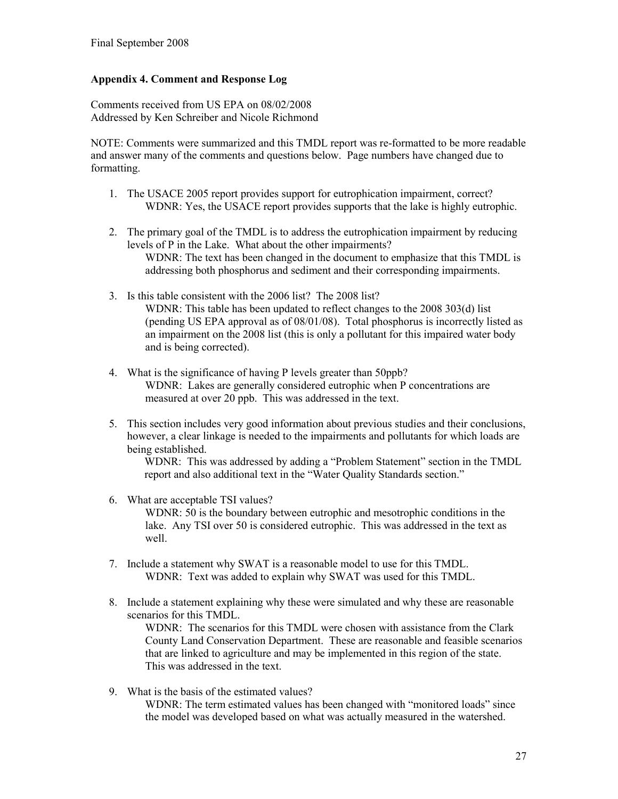### Appendix 4. Comment and Response Log

Comments received from US EPA on 08/02/2008 Addressed by Ken Schreiber and Nicole Richmond

NOTE: Comments were summarized and this TMDL report was re-formatted to be more readable and answer many of the comments and questions below. Page numbers have changed due to formatting.

- 1. The USACE 2005 report provides support for eutrophication impairment, correct? WDNR: Yes, the USACE report provides supports that the lake is highly eutrophic.
- 2. The primary goal of the TMDL is to address the eutrophication impairment by reducing levels of P in the Lake. What about the other impairments? WDNR: The text has been changed in the document to emphasize that this TMDL is addressing both phosphorus and sediment and their corresponding impairments.
- 3. Is this table consistent with the 2006 list? The 2008 list? WDNR: This table has been updated to reflect changes to the 2008 303(d) list (pending US EPA approval as of 08/01/08). Total phosphorus is incorrectly listed as an impairment on the 2008 list (this is only a pollutant for this impaired water body and is being corrected).
- 4. What is the significance of having P levels greater than 50ppb? WDNR: Lakes are generally considered eutrophic when P concentrations are measured at over 20 ppb. This was addressed in the text.
- 5. This section includes very good information about previous studies and their conclusions, however, a clear linkage is needed to the impairments and pollutants for which loads are being established.

WDNR: This was addressed by adding a "Problem Statement" section in the TMDL report and also additional text in the "Water Quality Standards section."

- 6. What are acceptable TSI values? WDNR: 50 is the boundary between eutrophic and mesotrophic conditions in the lake. Any TSI over 50 is considered eutrophic. This was addressed in the text as well.
- 7. Include a statement why SWAT is a reasonable model to use for this TMDL. WDNR: Text was added to explain why SWAT was used for this TMDL.
- 8. Include a statement explaining why these were simulated and why these are reasonable scenarios for this TMDL.

WDNR: The scenarios for this TMDL were chosen with assistance from the Clark County Land Conservation Department. These are reasonable and feasible scenarios that are linked to agriculture and may be implemented in this region of the state. This was addressed in the text.

9. What is the basis of the estimated values? WDNR: The term estimated values has been changed with "monitored loads" since the model was developed based on what was actually measured in the watershed.